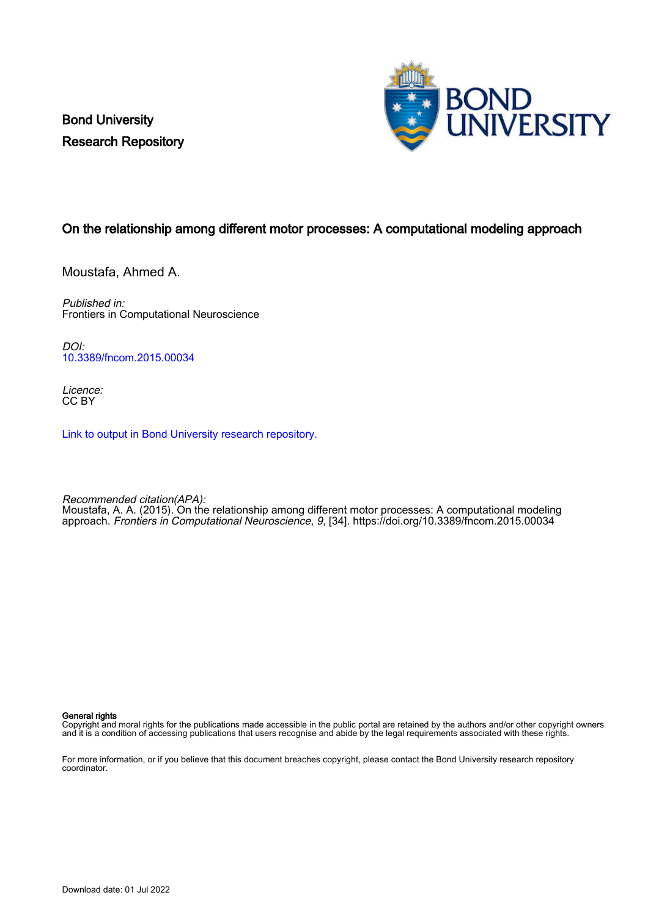Bond University Research Repository



# On the relationship among different motor processes: A computational modeling approach

Moustafa, Ahmed A.

Published in: Frontiers in Computational Neuroscience

DOI: [10.3389/fncom.2015.00034](https://doi.org/10.3389/fncom.2015.00034)

Licence: CC BY

[Link to output in Bond University research repository.](https://research.bond.edu.au/en/publications/fe3eac7f-3e2a-4ce9-95cc-ae4b36bfb429)

Recommended citation(APA): Moustafa, A. A. (2015). On the relationship among different motor processes: A computational modeling approach. Frontiers in Computational Neuroscience, 9, [34].<https://doi.org/10.3389/fncom.2015.00034>

### General rights

Copyright and moral rights for the publications made accessible in the public portal are retained by the authors and/or other copyright owners and it is a condition of accessing publications that users recognise and abide by the legal requirements associated with these rights.

For more information, or if you believe that this document breaches copyright, please contact the Bond University research repository coordinator.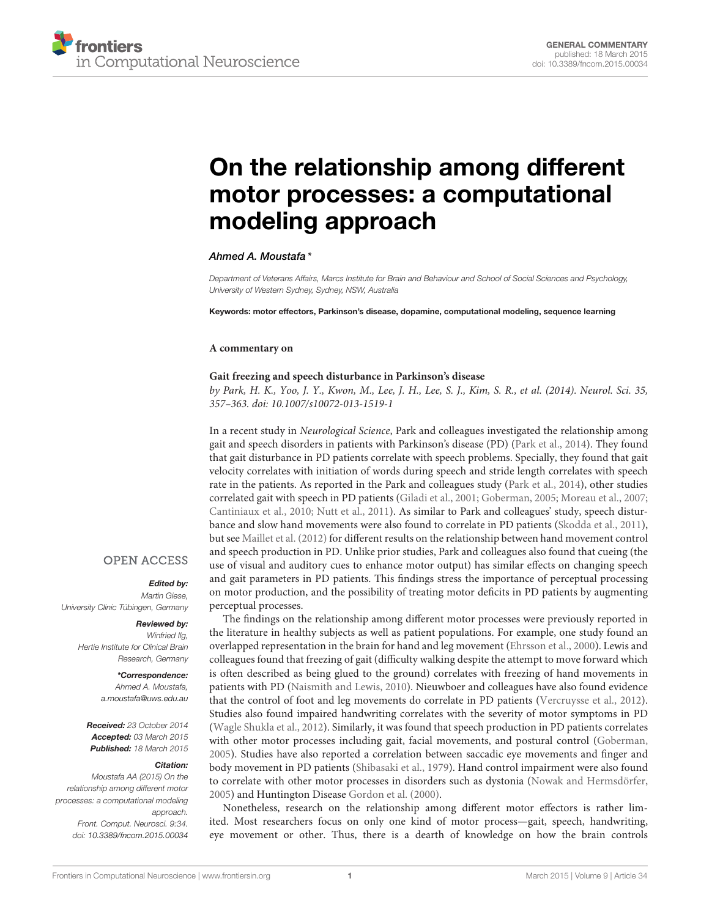# [On the relationship among different](http://www.frontiersin.org/journal/10.3389/fncom.2015.00034/full) motor processes: a computational modeling approach

## [Ahmed A. Moustafa](http://community.frontiersin.org/people/u/15417)\*

Department of Veterans Affairs, Marcs Institute for Brain and Behaviour and School of Social Sciences and Psychology, University of Western Sydney, Sydney, NSW, Australia

Keywords: motor effectors, Parkinson's disease, dopamine, computational modeling, sequence learning

### **A commentary on**

## **Gait freezing and speech disturbance in Parkinson's disease**

by Park, H. K., Yoo, J. Y., Kwon, M., Lee, J. H., Lee, S. J., Kim, S. R., et al. (2014). Neurol. Sci. 35, 357–363. doi: 10.1007/s10072-013-1519-1

In a recent study in Neurological Science, Park and colleagues investigated the relationship among gait and speech disorders in patients with Parkinson's disease (PD) [\(Park et al., 2014](#page-3-0)). They found that gait disturbance in PD patients correlate with speech problems. Specially, they found that gait velocity correlates with initiation of words during speech and stride length correlates with speech rate in the patients. As reported in the Park and colleagues study [\(Park et al.](#page-3-0), [2014](#page-3-0)), other studies correlated gait with speech in PD patients [\(Giladi et al., 2001;](#page-2-0) [Goberman](#page-2-1), [2005](#page-2-1); [Moreau et al., 2007](#page-3-1); [Cantiniaux et al.](#page-2-2), [2010](#page-2-2); [Nutt et al., 2011\)](#page-3-2). As similar to Park and colleagues' study, speech disturbance and slow hand movements were also found to correlate in PD patients [\(Skodda et al.](#page-3-3), [2011](#page-3-3)), but see [Maillet et al. \(2012\)](#page-3-4) for different results on the relationship between hand movement control and speech production in PD. Unlike prior studies, Park and colleagues also found that cueing (the use of visual and auditory cues to enhance motor output) has similar effects on changing speech and gait parameters in PD patients. This findings stress the importance of perceptual processing on motor production, and the possibility of treating motor deficits in PD patients by augmenting perceptual processes.

## **OPEN ACCESS**

## Edited by:

Martin Giese, University Clinic Tübingen, Germany

## Reviewed by:

Winfried IIg, Hertie Institute for Clinical Brain Research, Germany

#### \*Correspondence: Ahmed A. Moustafa, [a.moustafa@uws.edu.au](mailto:a.moustafa@uws.edu.au)

Received: 23 October 2014 Accepted: 03 March 2015 Published: 18 March 2015

#### Citation:

Moustafa AA (2015) On the relationship among different motor processes: a computational modeling approach. Front. Comput. Neurosci. 9:34. doi: [10.3389/fncom.2015.00034](http://dx.doi.org/10.3389/fncom.2015.00034)

The findings on the relationship among different motor processes were previously reported in the literature in healthy subjects as well as patient populations. For example, one study found an overlapped representation in the brain for hand and leg movement [\(Ehrsson et al.](#page-2-3), [2000](#page-2-3)). Lewis and colleagues found that freezing of gait (difficulty walking despite the attempt to move forward which is often described as being glued to the ground) correlates with freezing of hand movements in patients with PD [\(Naismith and Lewis, 2010\)](#page-3-5). Nieuwboer and colleagues have also found evidence that the control of foot and leg movements do correlate in PD patients [\(Vercruysse et al., 2012](#page-3-6)). Studies also found impaired handwriting correlates with the severity of motor symptoms in PD [\(Wagle Shukla et al.](#page-3-7), [2012\)](#page-3-7). Similarly, it was found that speech production in PD patients correlates with other motor processes including gait, facial movements, and postural control [\(Goberman](#page-2-1), [2005](#page-2-1)). Studies have also reported a correlation between saccadic eye movements and finger and body movement in PD patients [\(Shibasaki et al., 1979](#page-3-8)). Hand control impairment were also found to correlate with other motor processes in disorders such as dystonia [\(Nowak and Hermsdörfer](#page-3-9), [2005](#page-3-9)) and Huntington Disease [Gordon et al. \(2000\)](#page-2-4).

Nonetheless, research on the relationship among different motor effectors is rather limited. Most researchers focus on only one kind of motor process—gait, speech, handwriting, eye movement or other. Thus, there is a dearth of knowledge on how the brain controls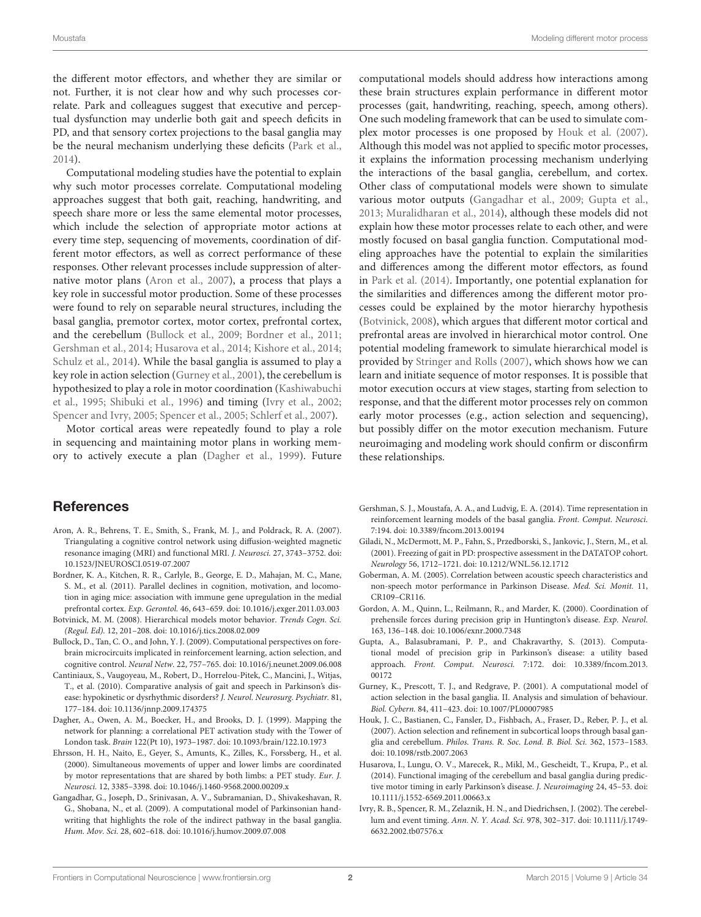the different motor effectors, and whether they are similar or not. Further, it is not clear how and why such processes correlate. Park and colleagues suggest that executive and perceptual dysfunction may underlie both gait and speech deficits in PD, and that sensory cortex projections to the basal ganglia may be the neural mechanism underlying these deficits [\(Park et al.](#page-3-0), [2014](#page-3-0)).

Computational modeling studies have the potential to explain why such motor processes correlate. Computational modeling approaches suggest that both gait, reaching, handwriting, and speech share more or less the same elemental motor processes, which include the selection of appropriate motor actions at every time step, sequencing of movements, coordination of different motor effectors, as well as correct performance of these responses. Other relevant processes include suppression of alternative motor plans [\(Aron et al.](#page-2-5), [2007\)](#page-2-5), a process that plays a key role in successful motor production. Some of these processes were found to rely on separable neural structures, including the basal ganglia, premotor cortex, motor cortex, prefrontal cortex, and the cerebellum [\(Bullock et al.](#page-2-6), [2009](#page-2-6); [Bordner et al., 2011](#page-2-7); [Gershman et al., 2014](#page-2-8); [Husarova et al., 2014](#page-2-9); [Kishore et al.](#page-3-10), [2014](#page-3-10); [Schulz et al., 2014\)](#page-3-11). While the basal ganglia is assumed to play a key role in action selection [\(Gurney et al.](#page-2-10), [2001\)](#page-2-10), the cerebellum is hyp[othesized to play a role in motor coordination \(](#page-3-12)Kashiwabuchi et al., [1995;](#page-3-12) [Shibuki et al.](#page-3-13), [1996](#page-3-13)) and timing [\(Ivry et al.](#page-2-11), [2002](#page-2-11); [Spencer and Ivry](#page-3-14), [2005;](#page-3-14) [Spencer et al., 2005](#page-3-15); [Schlerf et al.](#page-3-16), [2007\)](#page-3-16).

Motor cortical areas were repeatedly found to play a role in sequencing and maintaining motor plans in working memory to actively execute a plan [\(Dagher et al.](#page-2-12), [1999](#page-2-12)). Future computational models should address how interactions among these brain structures explain performance in different motor processes (gait, handwriting, reaching, speech, among others). One such modeling framework that can be used to simulate complex motor processes is one proposed by [Houk et al. \(2007](#page-2-13)). Although this model was not applied to specific motor processes, it explains the information processing mechanism underlying the interactions of the basal ganglia, cerebellum, and cortex. Other class of computational models were shown to simulate various motor outputs [\(Gangadhar et al., 2009;](#page-2-14) [Gupta et al.](#page-2-15), [2013](#page-2-15); [Muralidharan et al.](#page-3-17), [2014](#page-3-17)), although these models did not explain how these motor processes relate to each other, and were mostly focused on basal ganglia function. Computational modeling approaches have the potential to explain the similarities and differences among the different motor effectors, as found in [Park et al. \(2014\)](#page-3-0). Importantly, one potential explanation for the similarities and differences among the different motor processes could be explained by the motor hierarchy hypothesis [\(Botvinick](#page-2-16), [2008\)](#page-2-16), which argues that different motor cortical and prefrontal areas are involved in hierarchical motor control. One potential modeling framework to simulate hierarchical model is provided by [Stringer and Rolls \(2007](#page-3-18)), which shows how we can learn and initiate sequence of motor responses. It is possible that motor execution occurs at view stages, starting from selection to response, and that the different motor processes rely on common early motor processes (e.g., action selection and sequencing), but possibly differ on the motor execution mechanism. Future neuroimaging and modeling work should confirm or disconfirm these relationships.

## **References**

- <span id="page-2-5"></span>Aron, A. R., Behrens, T. E., Smith, S., Frank, M. J., and Poldrack, R. A. (2007). Triangulating a cognitive control network using diffusion-weighted magnetic resonance imaging (MRI) and functional MRI. J. Neurosci. 27, 3743–3752. doi: 10.1523/JNEUROSCI.0519-07.2007
- <span id="page-2-7"></span>Bordner, K. A., Kitchen, R. R., Carlyle, B., George, E. D., Mahajan, M. C., Mane, S. M., et al. (2011). Parallel declines in cognition, motivation, and locomotion in aging mice: association with immune gene upregulation in the medial prefrontal cortex. Exp. Gerontol. 46, 643–659. doi: 10.1016/j.exger.2011.03.003
- <span id="page-2-16"></span>Botvinick, M. M. (2008). Hierarchical models motor behavior. Trends Cogn. Sci. (Regul. Ed). 12, 201–208. doi: 10.1016/j.tics.2008.02.009
- <span id="page-2-6"></span>Bullock, D., Tan, C. O., and John, Y. J. (2009). Computational perspectives on forebrain microcircuits implicated in reinforcement learning, action selection, and cognitive control. Neural Netw. 22, 757–765. doi: 10.1016/j.neunet.2009.06.008
- <span id="page-2-2"></span>Cantiniaux, S., Vaugoyeau, M., Robert, D., Horrelou-Pitek, C., Mancini, J., Witjas, T., et al. (2010). Comparative analysis of gait and speech in Parkinson's disease: hypokinetic or dysrhythmic disorders? J. Neurol. Neurosurg. Psychiatr. 81, 177–184. doi: 10.1136/jnnp.2009.174375
- <span id="page-2-12"></span>Dagher, A., Owen, A. M., Boecker, H., and Brooks, D. J. (1999). Mapping the network for planning: a correlational PET activation study with the Tower of London task. Brain 122(Pt 10), 1973–1987. doi: 10.1093/brain/122.10.1973
- <span id="page-2-3"></span>Ehrsson, H. H., Naito, E., Geyer, S., Amunts, K., Zilles, K., Forssberg, H., et al. (2000). Simultaneous movements of upper and lower limbs are coordinated by motor representations that are shared by both limbs: a PET study. Eur. J. Neurosci. 12, 3385–3398. doi: 10.1046/j.1460-9568.2000.00209.x
- <span id="page-2-14"></span>Gangadhar, G., Joseph, D., Srinivasan, A. V., Subramanian, D., Shivakeshavan, R. G., Shobana, N., et al. (2009). A computational model of Parkinsonian handwriting that highlights the role of the indirect pathway in the basal ganglia. Hum. Mov. Sci. 28, 602–618. doi: 10.1016/j.humov.2009.07.008
- <span id="page-2-8"></span>Gershman, S. J., Moustafa, A. A., and Ludvig, E. A. (2014). Time representation in reinforcement learning models of the basal ganglia. Front. Comput. Neurosci. 7:194. doi: 10.3389/fncom.2013.00194
- <span id="page-2-0"></span>Giladi, N., McDermott, M. P., Fahn, S., Przedborski, S., Jankovic, J., Stern, M., et al. (2001). Freezing of gait in PD: prospective assessment in the DATATOP cohort. Neurology 56, 1712–1721. doi: 10.1212/WNL.56.12.1712
- <span id="page-2-1"></span>Goberman, A. M. (2005). Correlation between acoustic speech characteristics and non-speech motor performance in Parkinson Disease. Med. Sci. Monit. 11, CR109–CR116.
- <span id="page-2-4"></span>Gordon, A. M., Quinn, L., Reilmann, R., and Marder, K. (2000). Coordination of prehensile forces during precision grip in Huntington's disease. Exp. Neurol. 163, 136–148. doi: 10.1006/exnr.2000.7348
- <span id="page-2-15"></span>Gupta, A., Balasubramani, P. P., and Chakravarthy, S. (2013). Computational model of precision grip in Parkinson's disease: a utility based approach. Front. Comput. Neurosci. 7:172. doi: 10.3389/fncom.2013. 00172
- <span id="page-2-10"></span>Gurney, K., Prescott, T. J., and Redgrave, P. (2001). A computational model of action selection in the basal ganglia. II. Analysis and simulation of behaviour. Biol. Cybern. 84, 411–423. doi: 10.1007/PL00007985
- <span id="page-2-13"></span>Houk, J. C., Bastianen, C., Fansler, D., Fishbach, A., Fraser, D., Reber, P. J., et al. (2007). Action selection and refinement in subcortical loops through basal ganglia and cerebellum. Philos. Trans. R. Soc. Lond. B. Biol. Sci. 362, 1573–1583. doi: 10.1098/rstb.2007.2063
- <span id="page-2-9"></span>Husarova, I., Lungu, O. V., Marecek, R., Mikl, M., Gescheidt, T., Krupa, P., et al. (2014). Functional imaging of the cerebellum and basal ganglia during predictive motor timing in early Parkinson's disease. J. Neuroimaging 24, 45–53. doi: 10.1111/j.1552-6569.2011.00663.x
- <span id="page-2-11"></span>Ivry, R. B., Spencer, R. M., Zelaznik, H. N., and Diedrichsen, J. (2002). The cerebellum and event timing. Ann. N. Y. Acad. Sci. 978, 302–317. doi: 10.1111/j.1749- 6632.2002.tb07576.x